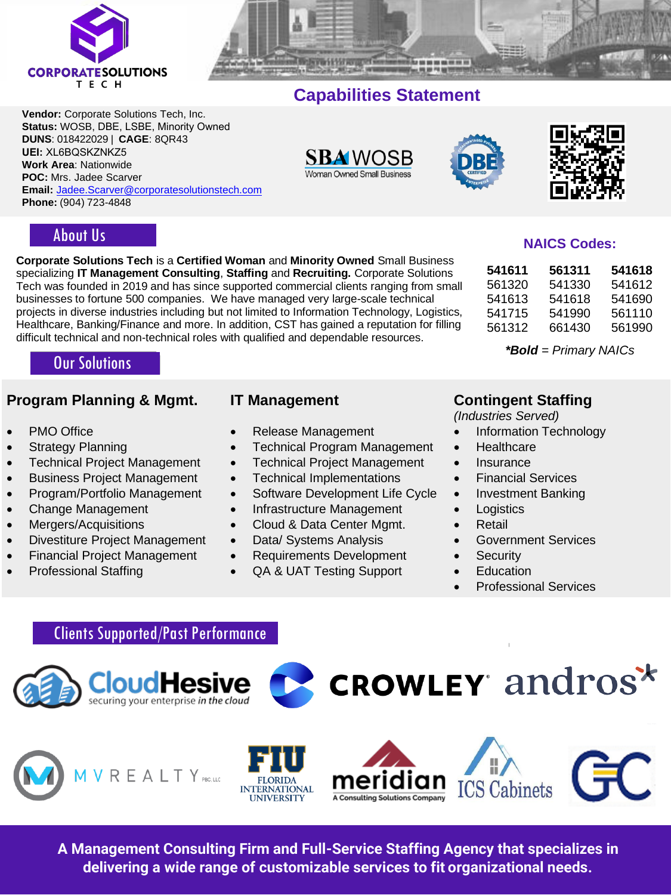



## **Capabilities Statement**

**Vendor:** Corporate Solutions Tech, Inc. **Status:** WOSB, DBE, LSBE, Minority Owned **DUNS**: 018422029 | **CAGE**: 8QR43 **UEI:** XL6BQSKZNKZ5 **Work Area**: Nationwide **POC:** Mrs. Jadee Scarver **Email:** J[adee.Scarver@corporatesolutionstech.com](mailto:Jadee.Scarver@corporatesolutionstech.com) **Phone:** (904) 723-4848

**SBAWOSB Woman Owned Small Business** 





**NAICS Codes:**

 **561311 541618** 541330 541612 541618 541690 541990 561110

*\*Bold = Primary NAICs*

561312 661430 561990

### About Us

**Corporate Solutions Tech** is a **Certified Woman** and **Minority Owned** Small Business specializing **IT Management Consulting**, **Staffing** and **Recruiting.** Corporate Solutions Tech was founded in 2019 and has since supported commercial clients ranging from small businesses to fortune 500 companies. We have managed very large-scale technical projects in diverse industries including but not limited to Information Technology, Logistics, Healthcare, Banking/Finance and more. In addition, CST has gained a reputation for filling difficult technical and non-technical roles with qualified and dependable resources.

### Our Solutions

### **Program Planning & Mgmt. IT Management Contingent Staffing**

- 
- 
- 
- 
- 
- 
- 
- Divestiture Project Management Data/ Systems Analysis Government Services
- Financial Project Management
- Professional Staffing

- 
- Strategy Planning Technical Program Management Healthcare
- Technical Project Management Technical Project Management Insurance
- Business Project Management Technical Implementations Financial Services
- Program/Portfolio Management Software Development Life Cycle Investment Banking
- Change Management Infrastructure Management Logistics
- Mergers/Acquisitions Cloud & Data Center Mgmt. Retail
	-
	- Requirements Development
	- QA & UAT Testing Support

*(Industries Served)*

- **PMO Office CHO CONSTRESS Release Management Information Technology** 
	-
	-
	-
	-
	-
	-
	-
	- **Security**
	- Education
	- Professional Services

### Clients Supported/Past Performance









**CROWLEY andros**\*

**A Management Consulting Firm and Full-Service Staffing Agency that specializes in delivering a wide range of customizable services to fit organizational needs.**